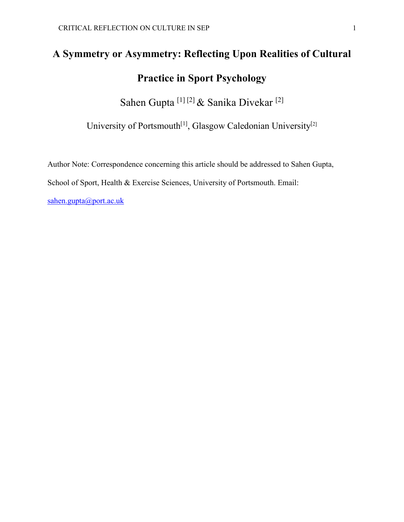# **A Symmetry or Asymmetry: Reflecting Upon Realities of Cultural Practice in Sport Psychology**

Sahen Gupta [1] [2] & Sanika Divekar [2]

University of Portsmouth<sup>[1]</sup>, Glasgow Caledonian University<sup>[2]</sup>

Author Note: Correspondence concerning this article should be addressed to Sahen Gupta,

School of Sport, Health & Exercise Sciences, University of Portsmouth. Email:

[sahen.gupta@port.ac.uk](mailto:sahen.gupta@port.ac.uk)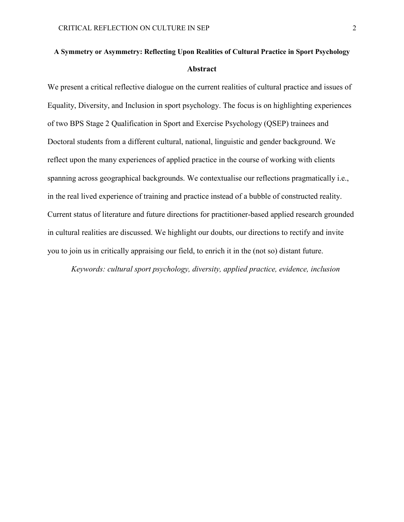# **A Symmetry or Asymmetry: Reflecting Upon Realities of Cultural Practice in Sport Psychology Abstract**

We present a critical reflective dialogue on the current realities of cultural practice and issues of Equality, Diversity, and Inclusion in sport psychology. The focus is on highlighting experiences of two BPS Stage 2 Qualification in Sport and Exercise Psychology (QSEP) trainees and Doctoral students from a different cultural, national, linguistic and gender background. We reflect upon the many experiences of applied practice in the course of working with clients spanning across geographical backgrounds. We contextualise our reflections pragmatically i.e., in the real lived experience of training and practice instead of a bubble of constructed reality. Current status of literature and future directions for practitioner-based applied research grounded in cultural realities are discussed. We highlight our doubts, our directions to rectify and invite you to join us in critically appraising our field, to enrich it in the (not so) distant future.

*Keywords: cultural sport psychology, diversity, applied practice, evidence, inclusion*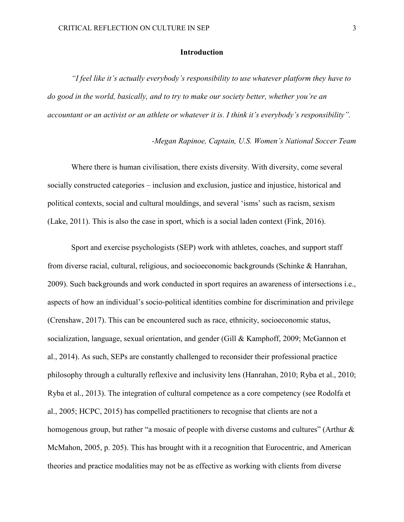#### **Introduction**

*"I feel like it's actually everybody's responsibility to use whatever platform they have to do good in the world, basically, and to try to make our society better, whether you're an accountant or an activist or an athlete or whatever it is. I think it's everybody's responsibility".*

*-Megan Rapinoe, Captain, U.S. Women's National Soccer Team*

 Where there is human civilisation, there exists diversity. With diversity, come several socially constructed categories – inclusion and exclusion, justice and injustice, historical and political contexts, social and cultural mouldings, and several 'isms' such as racism, sexism (Lake, 2011). This is also the case in sport, which is a social laden context (Fink, 2016).

Sport and exercise psychologists (SEP) work with athletes, coaches, and support staff from diverse racial, cultural, religious, and socioeconomic backgrounds (Schinke & Hanrahan, 2009). Such backgrounds and work conducted in sport requires an awareness of intersections i.e., aspects of how an individual's socio-political identities combine for discrimination and privilege (Crenshaw, 2017). This can be encountered such as race, ethnicity, socioeconomic status, socialization, language, sexual orientation, and gender (Gill & Kamphoff, 2009; McGannon et al., 2014). As such, SEPs are constantly challenged to reconsider their professional practice philosophy through a culturally reflexive and inclusivity lens (Hanrahan, 2010; Ryba et al., 2010; Ryba et al., 2013). The integration of cultural competence as a core competency (see Rodolfa et al., 2005; HCPC, 2015) has compelled practitioners to recognise that clients are not a homogenous group, but rather "a mosaic of people with diverse customs and cultures" (Arthur & McMahon, 2005, p. 205). This has brought with it a recognition that Eurocentric, and American theories and practice modalities may not be as effective as working with clients from diverse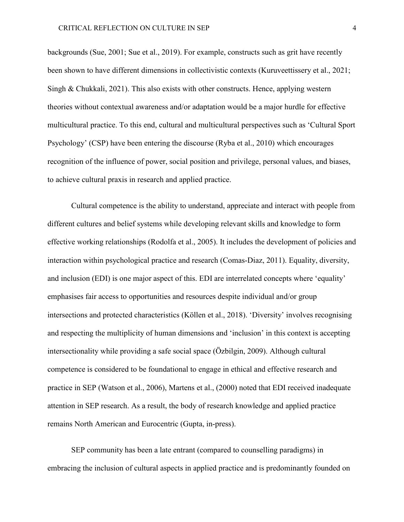backgrounds (Sue, 2001; Sue et al., 2019). For example, constructs such as grit have recently been shown to have different dimensions in collectivistic contexts (Kuruveettissery et al., 2021; Singh & Chukkali, 2021). This also exists with other constructs. Hence, applying western theories without contextual awareness and/or adaptation would be a major hurdle for effective multicultural practice. To this end, cultural and multicultural perspectives such as 'Cultural Sport Psychology' (CSP) have been entering the discourse (Ryba et al., 2010) which encourages recognition of the influence of power, social position and privilege, personal values, and biases, to achieve cultural praxis in research and applied practice.

Cultural competence is the ability to understand, appreciate and interact with people from different cultures and belief systems while developing relevant skills and knowledge to form effective working relationships (Rodolfa et al., 2005). It includes the development of policies and interaction within psychological practice and research (Comas-Diaz, 2011). Equality, diversity, and inclusion (EDI) is one major aspect of this. EDI are interrelated concepts where 'equality' emphasises fair access to opportunities and resources despite individual and/or group intersections and protected characteristics (Köllen et al., 2018). 'Diversity' involves recognising and respecting the multiplicity of human dimensions and 'inclusion' in this context is accepting intersectionality while providing a safe social space (Özbilgin, 2009). Although cultural competence is considered to be foundational to engage in ethical and effective research and practice in SEP (Watson et al., 2006), Martens et al., (2000) noted that EDI received inadequate attention in SEP research. As a result, the body of research knowledge and applied practice remains North American and Eurocentric (Gupta, in-press).

 SEP community has been a late entrant (compared to counselling paradigms) in embracing the inclusion of cultural aspects in applied practice and is predominantly founded on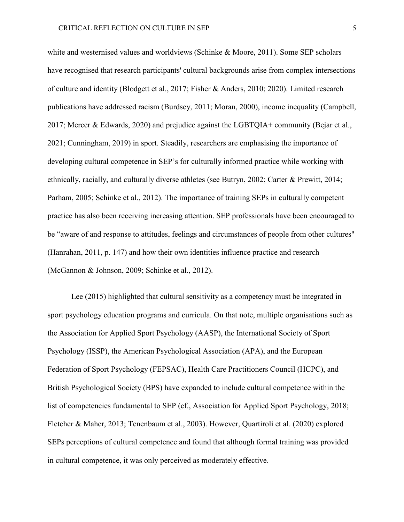white and westernised values and worldviews (Schinke & Moore, 2011). Some SEP scholars have recognised that research participants' cultural backgrounds arise from complex intersections of culture and identity (Blodgett et al., 2017; Fisher & Anders, 2010; 2020). Limited research publications have addressed racism (Burdsey, 2011; Moran, 2000), income inequality (Campbell, 2017; Mercer & Edwards, 2020) and prejudice against the LGBTQIA+ community (Bejar et al., 2021; Cunningham, 2019) in sport. Steadily, researchers are emphasising the importance of developing cultural competence in SEP's for culturally informed practice while working with ethnically, racially, and culturally diverse athletes (see Butryn, 2002; Carter & Prewitt, 2014; Parham, 2005; Schinke et al., 2012). The importance of training SEPs in culturally competent practice has also been receiving increasing attention. SEP professionals have been encouraged to be "aware of and response to attitudes, feelings and circumstances of people from other cultures'' (Hanrahan, 2011, p. 147) and how their own identities influence practice and research (McGannon & Johnson, 2009; Schinke et al., 2012).

 Lee (2015) highlighted that cultural sensitivity as a competency must be integrated in sport psychology education programs and curricula. On that note, multiple organisations such as the Association for Applied Sport Psychology (AASP), the International Society of Sport Psychology (ISSP), the American Psychological Association (APA), and the European Federation of Sport Psychology (FEPSAC), Health Care Practitioners Council (HCPC), and British Psychological Society (BPS) have expanded to include cultural competence within the list of competencies fundamental to SEP (cf., Association for Applied Sport Psychology, 2018; Fletcher & Maher, 2013; Tenenbaum et al., 2003). However, Quartiroli et al. (2020) explored SEPs perceptions of cultural competence and found that although formal training was provided in cultural competence, it was only perceived as moderately effective.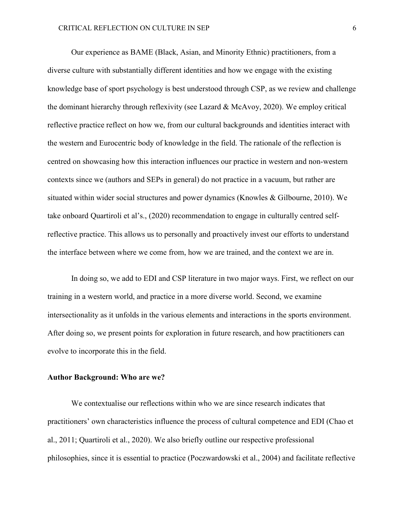Our experience as BAME (Black, Asian, and Minority Ethnic) practitioners, from a diverse culture with substantially different identities and how we engage with the existing knowledge base of sport psychology is best understood through CSP, as we review and challenge the dominant hierarchy through reflexivity (see Lazard & McAvoy, 2020). We employ critical reflective practice reflect on how we, from our cultural backgrounds and identities interact with the western and Eurocentric body of knowledge in the field. The rationale of the reflection is centred on showcasing how this interaction influences our practice in western and non-western contexts since we (authors and SEPs in general) do not practice in a vacuum, but rather are situated within wider social structures and power dynamics (Knowles & Gilbourne, 2010). We take onboard Quartiroli et al's., (2020) recommendation to engage in culturally centred selfreflective practice. This allows us to personally and proactively invest our efforts to understand the interface between where we come from, how we are trained, and the context we are in.

 In doing so, we add to EDI and CSP literature in two major ways. First, we reflect on our training in a western world, and practice in a more diverse world. Second, we examine intersectionality as it unfolds in the various elements and interactions in the sports environment. After doing so, we present points for exploration in future research, and how practitioners can evolve to incorporate this in the field.

# **Author Background: Who are we?**

We contextualise our reflections within who we are since research indicates that practitioners' own characteristics influence the process of cultural competence and EDI (Chao et al., 2011; Quartiroli et al., 2020). We also briefly outline our respective professional philosophies, since it is essential to practice (Poczwardowski et al., 2004) and facilitate reflective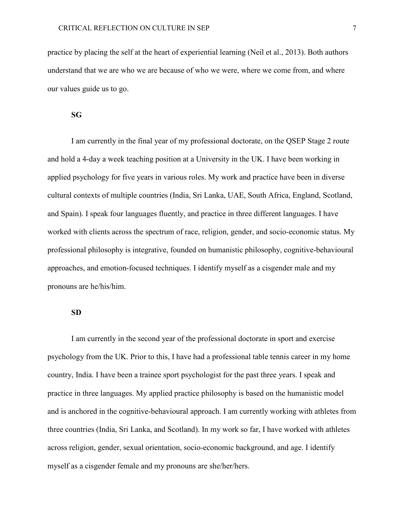practice by placing the self at the heart of experiential learning (Neil et al., 2013). Both authors understand that we are who we are because of who we were, where we come from, and where our values guide us to go.

#### **SG**

I am currently in the final year of my professional doctorate, on the QSEP Stage 2 route and hold a 4-day a week teaching position at a University in the UK. I have been working in applied psychology for five years in various roles. My work and practice have been in diverse cultural contexts of multiple countries (India, Sri Lanka, UAE, South Africa, England, Scotland, and Spain). I speak four languages fluently, and practice in three different languages. I have worked with clients across the spectrum of race, religion, gender, and socio-economic status. My professional philosophy is integrative, founded on humanistic philosophy, cognitive-behavioural approaches, and emotion-focused techniques. I identify myself as a cisgender male and my pronouns are he/his/him.

# **SD**

I am currently in the second year of the professional doctorate in sport and exercise psychology from the UK. Prior to this, I have had a professional table tennis career in my home country, India. I have been a trainee sport psychologist for the past three years. I speak and practice in three languages. My applied practice philosophy is based on the humanistic model and is anchored in the cognitive-behavioural approach. I am currently working with athletes from three countries (India, Sri Lanka, and Scotland). In my work so far, I have worked with athletes across religion, gender, sexual orientation, socio-economic background, and age. I identify myself as a cisgender female and my pronouns are she/her/hers.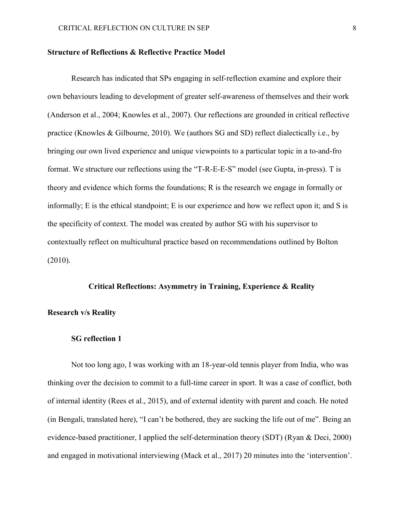#### **Structure of Reflections & Reflective Practice Model**

Research has indicated that SPs engaging in self-reflection examine and explore their own behaviours leading to development of greater self-awareness of themselves and their work (Anderson et al., 2004; Knowles et al., 2007). Our reflections are grounded in critical reflective practice (Knowles & Gilbourne, 2010). We (authors SG and SD) reflect dialectically i.e., by bringing our own lived experience and unique viewpoints to a particular topic in a to-and-fro format. We structure our reflections using the "T-R-E-E-S" model (see Gupta, in-press). T is theory and evidence which forms the foundations; R is the research we engage in formally or informally; E is the ethical standpoint; E is our experience and how we reflect upon it; and S is the specificity of context. The model was created by author SG with his supervisor to contextually reflect on multicultural practice based on recommendations outlined by Bolton (2010).

# **Critical Reflections: Asymmetry in Training, Experience & Reality**

#### **Research v/s Reality**

# **SG reflection 1**

Not too long ago, I was working with an 18-year-old tennis player from India, who was thinking over the decision to commit to a full-time career in sport. It was a case of conflict, both of internal identity (Rees et al., 2015), and of external identity with parent and coach. He noted (in Bengali, translated here), "I can't be bothered, they are sucking the life out of me". Being an evidence-based practitioner, I applied the self-determination theory (SDT) (Ryan & Deci, 2000) and engaged in motivational interviewing (Mack et al., 2017) 20 minutes into the 'intervention'.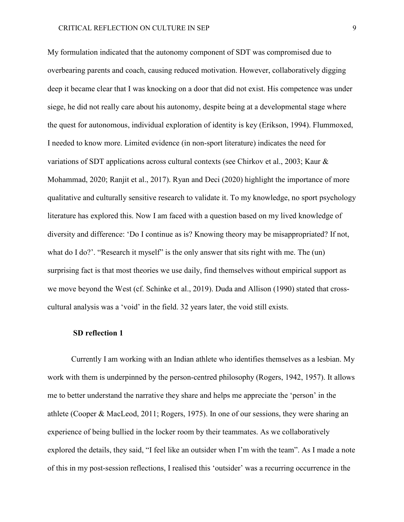My formulation indicated that the autonomy component of SDT was compromised due to overbearing parents and coach, causing reduced motivation. However, collaboratively digging deep it became clear that I was knocking on a door that did not exist. His competence was under siege, he did not really care about his autonomy, despite being at a developmental stage where the quest for autonomous, individual exploration of identity is key (Erikson, 1994). Flummoxed, I needed to know more. Limited evidence (in non-sport literature) indicates the need for variations of SDT applications across cultural contexts (see Chirkov et al., 2003; Kaur & Mohammad, 2020; Ranjit et al., 2017). Ryan and Deci (2020) highlight the importance of more qualitative and culturally sensitive research to validate it. To my knowledge, no sport psychology literature has explored this. Now I am faced with a question based on my lived knowledge of diversity and difference: 'Do I continue as is? Knowing theory may be misappropriated? If not, what do I do?'. "Research it myself" is the only answer that sits right with me. The (un) surprising fact is that most theories we use daily, find themselves without empirical support as we move beyond the West (cf. Schinke et al., 2019). Duda and Allison (1990) stated that crosscultural analysis was a 'void' in the field. 32 years later, the void still exists.

#### **SD reflection 1**

Currently I am working with an Indian athlete who identifies themselves as a lesbian. My work with them is underpinned by the person-centred philosophy (Rogers, 1942, 1957). It allows me to better understand the narrative they share and helps me appreciate the 'person' in the athlete (Cooper & MacLeod, 2011; Rogers, 1975). In one of our sessions, they were sharing an experience of being bullied in the locker room by their teammates. As we collaboratively explored the details, they said, "I feel like an outsider when I'm with the team". As I made a note of this in my post-session reflections, I realised this 'outsider' was a recurring occurrence in the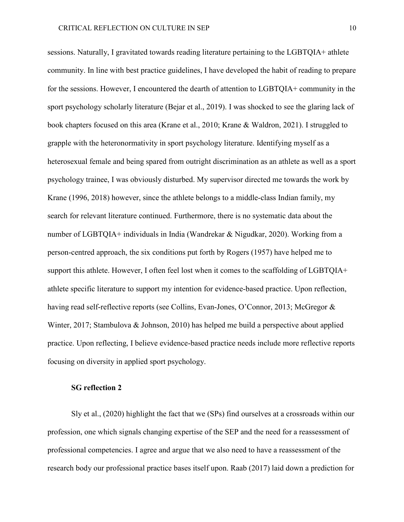sessions. Naturally, I gravitated towards reading literature pertaining to the LGBTQIA+ athlete community. In line with best practice guidelines, I have developed the habit of reading to prepare for the sessions. However, I encountered the dearth of attention to LGBTQIA+ community in the sport psychology scholarly literature (Bejar et al., 2019). I was shocked to see the glaring lack of book chapters focused on this area (Krane et al., 2010; Krane & Waldron, 2021). I struggled to grapple with the heteronormativity in sport psychology literature. Identifying myself as a heterosexual female and being spared from outright discrimination as an athlete as well as a sport psychology trainee, I was obviously disturbed. My supervisor directed me towards the work by Krane (1996, 2018) however, since the athlete belongs to a middle-class Indian family, my search for relevant literature continued. Furthermore, there is no systematic data about the number of LGBTQIA+ individuals in India (Wandrekar & Nigudkar, 2020). Working from a person-centred approach, the six conditions put forth by Rogers (1957) have helped me to support this athlete. However, I often feel lost when it comes to the scaffolding of LGBTQIA+ athlete specific literature to support my intention for evidence-based practice. Upon reflection, having read self-reflective reports (see Collins, Evan-Jones, O'Connor, 2013; McGregor & Winter, 2017; Stambulova & Johnson, 2010) has helped me build a perspective about applied practice. Upon reflecting, I believe evidence-based practice needs include more reflective reports focusing on diversity in applied sport psychology.

#### **SG reflection 2**

Sly et al., (2020) highlight the fact that we (SPs) find ourselves at a crossroads within our profession, one which signals changing expertise of the SEP and the need for a reassessment of professional competencies. I agree and argue that we also need to have a reassessment of the research body our professional practice bases itself upon. Raab (2017) laid down a prediction for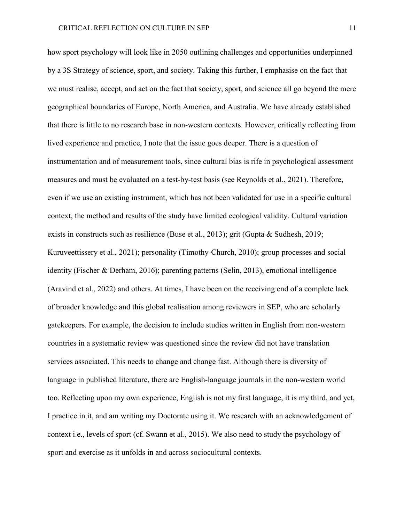how sport psychology will look like in 2050 outlining challenges and opportunities underpinned by a 3S Strategy of science, sport, and society. Taking this further, I emphasise on the fact that we must realise, accept, and act on the fact that society, sport, and science all go beyond the mere geographical boundaries of Europe, North America, and Australia. We have already established that there is little to no research base in non-western contexts. However, critically reflecting from lived experience and practice, I note that the issue goes deeper. There is a question of instrumentation and of measurement tools, since cultural bias is rife in psychological assessment measures and must be evaluated on a test-by-test basis (see Reynolds et al., 2021). Therefore, even if we use an existing instrument, which has not been validated for use in a specific cultural context, the method and results of the study have limited ecological validity. Cultural variation exists in constructs such as resilience (Buse et al., 2013); grit (Gupta & Sudhesh, 2019; Kuruveettissery et al., 2021); personality (Timothy-Church, 2010); group processes and social identity (Fischer & Derham, 2016); parenting patterns (Selin, 2013), emotional intelligence (Aravind et al., 2022) and others. At times, I have been on the receiving end of a complete lack of broader knowledge and this global realisation among reviewers in SEP, who are scholarly gatekeepers. For example, the decision to include studies written in English from non-western countries in a systematic review was questioned since the review did not have translation services associated. This needs to change and change fast. Although there is diversity of language in published literature, there are English-language journals in the non-western world too. Reflecting upon my own experience, English is not my first language, it is my third, and yet, I practice in it, and am writing my Doctorate using it. We research with an acknowledgement of context i.e., levels of sport (cf. Swann et al., 2015). We also need to study the psychology of sport and exercise as it unfolds in and across sociocultural contexts.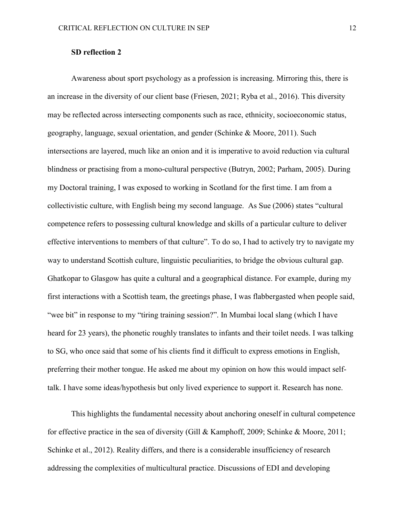# **SD reflection 2**

Awareness about sport psychology as a profession is increasing. Mirroring this, there is an increase in the diversity of our client base (Friesen, 2021; Ryba et al., 2016). This diversity may be reflected across intersecting components such as race, ethnicity, socioeconomic status, geography, language, sexual orientation, and gender (Schinke & Moore, 2011). Such intersections are layered, much like an onion and it is imperative to avoid reduction via cultural blindness or practising from a mono-cultural perspective (Butryn, 2002; Parham, 2005). During my Doctoral training, I was exposed to working in Scotland for the first time. I am from a collectivistic culture, with English being my second language. As Sue (2006) states "cultural competence refers to possessing cultural knowledge and skills of a particular culture to deliver effective interventions to members of that culture". To do so, I had to actively try to navigate my way to understand Scottish culture, linguistic peculiarities, to bridge the obvious cultural gap. Ghatkopar to Glasgow has quite a cultural and a geographical distance. For example, during my first interactions with a Scottish team, the greetings phase, I was flabbergasted when people said, "wee bit" in response to my "tiring training session?". In Mumbai local slang (which I have heard for 23 years), the phonetic roughly translates to infants and their toilet needs. I was talking to SG, who once said that some of his clients find it difficult to express emotions in English, preferring their mother tongue. He asked me about my opinion on how this would impact selftalk. I have some ideas/hypothesis but only lived experience to support it. Research has none.

This highlights the fundamental necessity about anchoring oneself in cultural competence for effective practice in the sea of diversity (Gill & Kamphoff, 2009; Schinke & Moore, 2011; Schinke et al., 2012). Reality differs, and there is a considerable insufficiency of research addressing the complexities of multicultural practice. Discussions of EDI and developing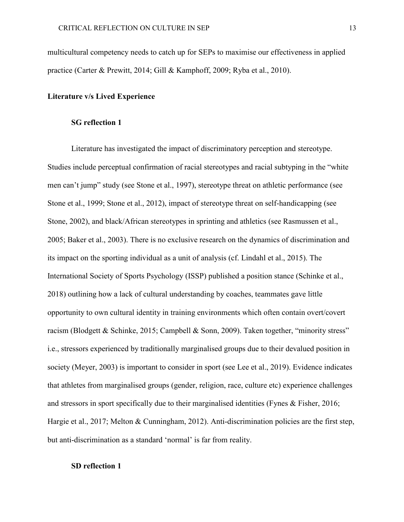multicultural competency needs to catch up for SEPs to maximise our effectiveness in applied practice (Carter & Prewitt, 2014; Gill & Kamphoff, 2009; Ryba et al., 2010).

# **Literature v/s Lived Experience**

#### **SG reflection 1**

Literature has investigated the impact of discriminatory perception and stereotype. Studies include perceptual confirmation of racial stereotypes and racial subtyping in the "white men can't jump" study (see Stone et al., 1997), stereotype threat on athletic performance (see Stone et al., 1999; Stone et al., 2012), impact of stereotype threat on self-handicapping (see Stone, 2002), and black/African stereotypes in sprinting and athletics (see Rasmussen et al., 2005; Baker et al., 2003). There is no exclusive research on the dynamics of discrimination and its impact on the sporting individual as a unit of analysis (cf. Lindahl et al., 2015). The International Society of Sports Psychology (ISSP) published a position stance (Schinke et al., 2018) outlining how a lack of cultural understanding by coaches, teammates gave little opportunity to own cultural identity in training environments which often contain overt/covert racism (Blodgett & Schinke, 2015; Campbell & Sonn, 2009). Taken together, "minority stress" i.e., stressors experienced by traditionally marginalised groups due to their devalued position in society (Meyer, 2003) is important to consider in sport (see Lee et al., 2019). Evidence indicates that athletes from marginalised groups (gender, religion, race, culture etc) experience challenges and stressors in sport specifically due to their marginalised identities (Fynes & Fisher, 2016; Hargie et al., 2017; Melton & Cunningham, 2012). Anti-discrimination policies are the first step, but anti-discrimination as a standard 'normal' is far from reality.

# **SD reflection 1**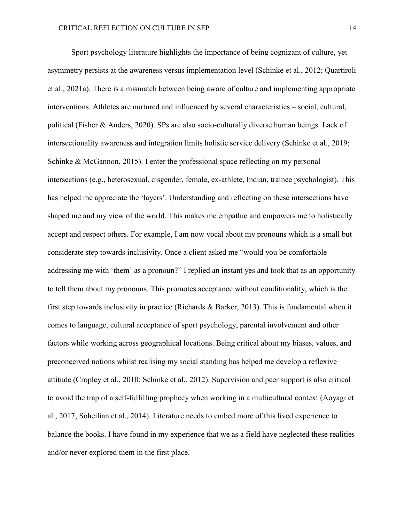Sport psychology literature highlights the importance of being cognizant of culture, yet asymmetry persists at the awareness versus implementation level (Schinke et al., 2012; Quartiroli et al., 2021a). There is a mismatch between being aware of culture and implementing appropriate interventions. Athletes are nurtured and influenced by several characteristics – social, cultural, political (Fisher & Anders, 2020). SPs are also socio-culturally diverse human beings. Lack of intersectionality awareness and integration limits holistic service delivery (Schinke et al., 2019; Schinke & McGannon, 2015). I enter the professional space reflecting on my personal intersections (e.g., heterosexual, cisgender, female, ex-athlete, Indian, trainee psychologist). This has helped me appreciate the 'layers'. Understanding and reflecting on these intersections have shaped me and my view of the world. This makes me empathic and empowers me to holistically accept and respect others. For example, I am now vocal about my pronouns which is a small but considerate step towards inclusivity. Once a client asked me "would you be comfortable addressing me with 'them' as a pronoun?" I replied an instant yes and took that as an opportunity to tell them about my pronouns. This promotes acceptance without conditionality, which is the first step towards inclusivity in practice (Richards & Barker, 2013). This is fundamental when it comes to language, cultural acceptance of sport psychology, parental involvement and other factors while working across geographical locations. Being critical about my biases, values, and preconceived notions whilst realising my social standing has helped me develop a reflexive attitude (Cropley et al., 2010; Schinke et al., 2012). Supervision and peer support is also critical to avoid the trap of a self-fulfilling prophecy when working in a multicultural context (Aoyagi et al., 2017; Soheilian et al., 2014). Literature needs to embed more of this lived experience to balance the books. I have found in my experience that we as a field have neglected these realities and/or never explored them in the first place.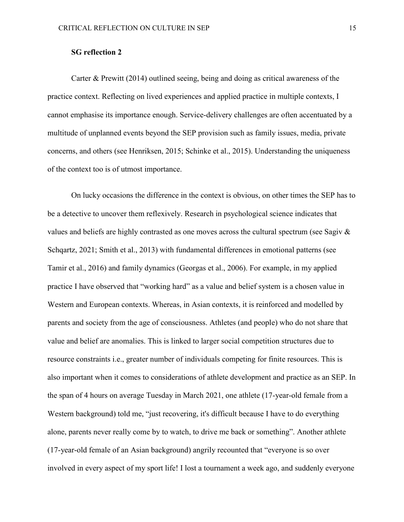# **SG reflection 2**

Carter & Prewitt (2014) outlined seeing, being and doing as critical awareness of the practice context. Reflecting on lived experiences and applied practice in multiple contexts, I cannot emphasise its importance enough. Service-delivery challenges are often accentuated by a multitude of unplanned events beyond the SEP provision such as family issues, media, private concerns, and others (see Henriksen, 2015; Schinke et al., 2015). Understanding the uniqueness of the context too is of utmost importance.

 On lucky occasions the difference in the context is obvious, on other times the SEP has to be a detective to uncover them reflexively. Research in psychological science indicates that values and beliefs are highly contrasted as one moves across the cultural spectrum (see Sagiv & Schqartz, 2021; Smith et al., 2013) with fundamental differences in emotional patterns (see Tamir et al., 2016) and family dynamics (Georgas et al., 2006). For example, in my applied practice I have observed that "working hard" as a value and belief system is a chosen value in Western and European contexts. Whereas, in Asian contexts, it is reinforced and modelled by parents and society from the age of consciousness. Athletes (and people) who do not share that value and belief are anomalies. This is linked to larger social competition structures due to resource constraints i.e., greater number of individuals competing for finite resources. This is also important when it comes to considerations of athlete development and practice as an SEP. In the span of 4 hours on average Tuesday in March 2021, one athlete (17-year-old female from a Western background) told me, "just recovering, it's difficult because I have to do everything alone, parents never really come by to watch, to drive me back or something". Another athlete (17-year-old female of an Asian background) angrily recounted that "everyone is so over involved in every aspect of my sport life! I lost a tournament a week ago, and suddenly everyone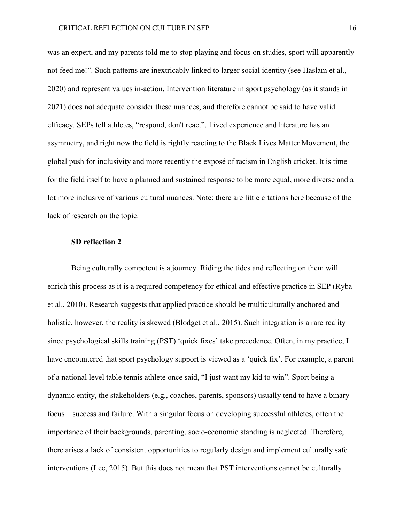was an expert, and my parents told me to stop playing and focus on studies, sport will apparently not feed me!". Such patterns are inextricably linked to larger social identity (see Haslam et al., 2020) and represent values in-action. Intervention literature in sport psychology (as it stands in 2021) does not adequate consider these nuances, and therefore cannot be said to have valid efficacy. SEPs tell athletes, "respond, don't react". Lived experience and literature has an asymmetry, and right now the field is rightly reacting to the Black Lives Matter Movement, the global push for inclusivity and more recently the exposé of racism in English cricket. It is time for the field itself to have a planned and sustained response to be more equal, more diverse and a lot more inclusive of various cultural nuances. Note: there are little citations here because of the lack of research on the topic.

#### **SD reflection 2**

 Being culturally competent is a journey. Riding the tides and reflecting on them will enrich this process as it is a required competency for ethical and effective practice in SEP (Ryba et al., 2010). Research suggests that applied practice should be multiculturally anchored and holistic, however, the reality is skewed (Blodget et al., 2015). Such integration is a rare reality since psychological skills training (PST) 'quick fixes' take precedence. Often, in my practice, I have encountered that sport psychology support is viewed as a 'quick fix'. For example, a parent of a national level table tennis athlete once said, "I just want my kid to win". Sport being a dynamic entity, the stakeholders (e.g., coaches, parents, sponsors) usually tend to have a binary focus – success and failure. With a singular focus on developing successful athletes, often the importance of their backgrounds, parenting, socio-economic standing is neglected. Therefore, there arises a lack of consistent opportunities to regularly design and implement culturally safe interventions (Lee, 2015). But this does not mean that PST interventions cannot be culturally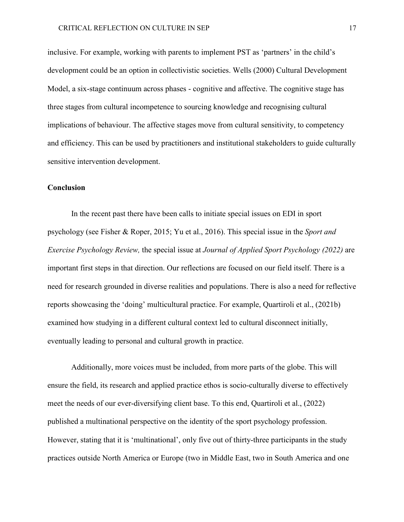inclusive. For example, working with parents to implement PST as 'partners' in the child's development could be an option in collectivistic societies. Wells (2000) Cultural Development Model, a six-stage continuum across phases - cognitive and affective. The cognitive stage has three stages from cultural incompetence to sourcing knowledge and recognising cultural implications of behaviour. The affective stages move from cultural sensitivity, to competency and efficiency. This can be used by practitioners and institutional stakeholders to guide culturally sensitive intervention development.

# **Conclusion**

In the recent past there have been calls to initiate special issues on EDI in sport psychology (see Fisher & Roper, 2015; Yu et al., 2016). This special issue in the *Sport and Exercise Psychology Review,* the special issue at *Journal of Applied Sport Psychology (2022)* are important first steps in that direction. Our reflections are focused on our field itself. There is a need for research grounded in diverse realities and populations. There is also a need for reflective reports showcasing the 'doing' multicultural practice. For example, Quartiroli et al., (2021b) examined how studying in a different cultural context led to cultural disconnect initially, eventually leading to personal and cultural growth in practice.

Additionally, more voices must be included, from more parts of the globe. This will ensure the field, its research and applied practice ethos is socio-culturally diverse to effectively meet the needs of our ever-diversifying client base. To this end, Quartiroli et al., (2022) published a multinational perspective on the identity of the sport psychology profession. However, stating that it is 'multinational', only five out of thirty-three participants in the study practices outside North America or Europe (two in Middle East, two in South America and one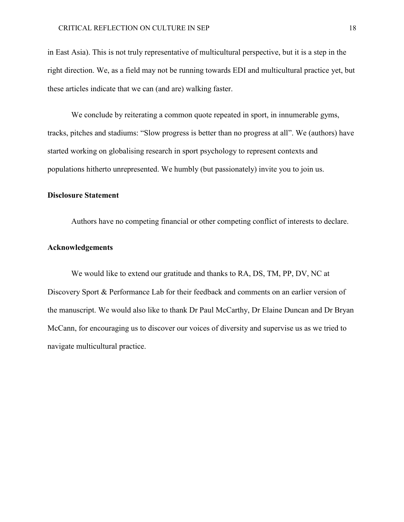in East Asia). This is not truly representative of multicultural perspective, but it is a step in the right direction. We, as a field may not be running towards EDI and multicultural practice yet, but these articles indicate that we can (and are) walking faster.

We conclude by reiterating a common quote repeated in sport, in innumerable gyms, tracks, pitches and stadiums: "Slow progress is better than no progress at all". We (authors) have started working on globalising research in sport psychology to represent contexts and populations hitherto unrepresented. We humbly (but passionately) invite you to join us.

#### **Disclosure Statement**

Authors have no competing financial or other competing conflict of interests to declare.

#### **Acknowledgements**

We would like to extend our gratitude and thanks to RA, DS, TM, PP, DV, NC at Discovery Sport & Performance Lab for their feedback and comments on an earlier version of the manuscript. We would also like to thank Dr Paul McCarthy, Dr Elaine Duncan and Dr Bryan McCann, for encouraging us to discover our voices of diversity and supervise us as we tried to navigate multicultural practice.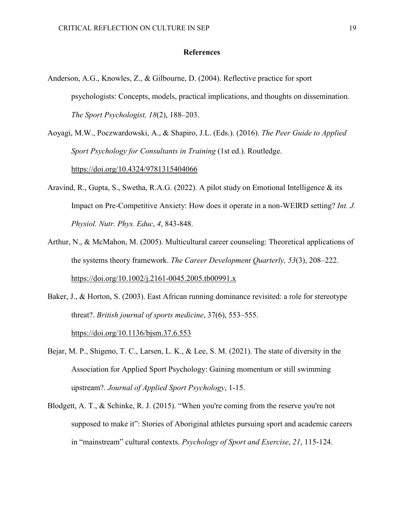# **References**

Anderson, A.G., Knowles, Z., & Gilbourne, D. (2004). Reflective practice for sport psychologists: Concepts, models, practical implications, and thoughts on dissemination. *The Sport Psychologist, 18*(2), 188–203.

Aoyagi, M.W., Poczwardowski, A., & Shapiro, J.L. (Eds.). (2016). *The Peer Guide to Applied Sport Psychology for Consultants in Training* (1st ed.). Routledge. <https://doi.org/10.4324/9781315404066>

- Aravind, R., Gupta, S., Swetha, R.A.G. (2022). A pilot study on Emotional Intelligence & its Impact on Pre-Competitive Anxiety: How does it operate in a non-WEIRD setting? *Int. J. Physiol. Nutr. Phys. Educ*, *4*, 843-848.
- Arthur, N., & McMahon, M. (2005). Multicultural career counseling: Theoretical applications of the systems theory framework. *The Career Development Quarterly, 53*(3), 208–222. <https://doi.org/10.1002/j.2161-0045.2005.tb00991.x>

Baker, J., & Horton, S. (2003). East African running dominance revisited: a role for stereotype threat?. *British journal of sports medicine*, 37(6), 553–555. <https://doi.org/10.1136/bjsm.37.6.553>

- Bejar, M. P., Shigeno, T. C., Larsen, L. K., & Lee, S. M. (2021). The state of diversity in the Association for Applied Sport Psychology: Gaining momentum or still swimming upstream?. *Journal of Applied Sport Psychology*, 1-15.
- Blodgett, A. T., & Schinke, R. J. (2015). "When you're coming from the reserve you're not supposed to make it": Stories of Aboriginal athletes pursuing sport and academic careers in "mainstream" cultural contexts. *Psychology of Sport and Exercise*, *21*, 115-124.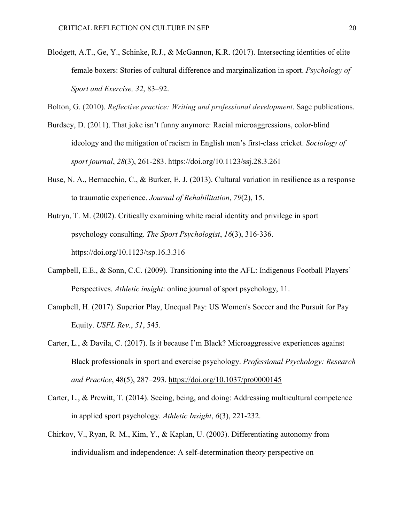Blodgett, A.T., Ge, Y., Schinke, R.J., & McGannon, K.R. (2017). Intersecting identities of elite female boxers: Stories of cultural difference and marginalization in sport. *Psychology of Sport and Exercise, 32*, 83–92.

Bolton, G. (2010). *Reflective practice: Writing and professional development*. Sage publications.

- Burdsey, D. (2011). That joke isn't funny anymore: Racial microaggressions, color-blind ideology and the mitigation of racism in English men's first-class cricket. *Sociology of sport journal*, *28*(3), 261-283.<https://doi.org/10.1123/ssj.28.3.261>
- Buse, N. A., Bernacchio, C., & Burker, E. J. (2013). Cultural variation in resilience as a response to traumatic experience. *Journal of Rehabilitation*, *79*(2), 15.
- Butryn, T. M. (2002). Critically examining white racial identity and privilege in sport psychology consulting. *The Sport Psychologist*, *16*(3), 316-336. <https://doi.org/10.1123/tsp.16.3.316>
- Campbell, E.E., & Sonn, C.C. (2009). Transitioning into the AFL: Indigenous Football Players' Perspectives. *Athletic insight*: online journal of sport psychology, 11.
- Campbell, H. (2017). Superior Play, Unequal Pay: US Women's Soccer and the Pursuit for Pay Equity. *USFL Rev.*, *51*, 545.
- Carter, L., & Davila, C. (2017). Is it because I'm Black? Microaggressive experiences against Black professionals in sport and exercise psychology. *Professional Psychology: Research and Practice*, 48(5), 287–293.<https://doi.org/10.1037/pro0000145>
- Carter, L., & Prewitt, T. (2014). Seeing, being, and doing: Addressing multicultural competence in applied sport psychology. *Athletic Insight*, *6*(3), 221-232.
- Chirkov, V., Ryan, R. M., Kim, Y., & Kaplan, U. (2003). Differentiating autonomy from individualism and independence: A self-determination theory perspective on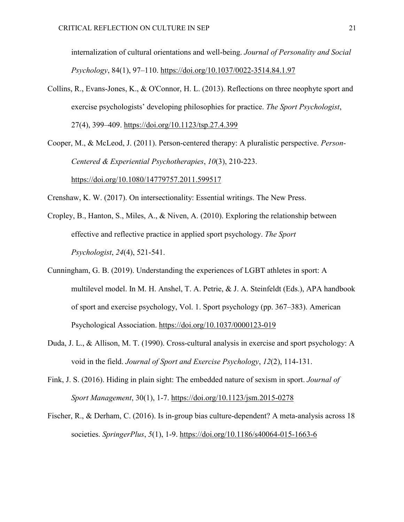internalization of cultural orientations and well-being. *Journal of Personality and Social Psychology*, 84(1), 97–110.<https://doi.org/10.1037/0022-3514.84.1.97>

- Collins, R., Evans-Jones, K., & O'Connor, H. L. (2013). Reflections on three neophyte sport and exercise psychologists' developing philosophies for practice. *The Sport Psychologist*, 27(4), 399–409.<https://doi.org/10.1123/tsp.27.4.399>
- Cooper, M., & McLeod, J. (2011). Person-centered therapy: A pluralistic perspective. *Person-Centered & Experiential Psychotherapies*, *10*(3), 210-223. <https://doi.org/10.1080/14779757.2011.599517>

Crenshaw, K. W. (2017). On intersectionality: Essential writings. The New Press.

- Cropley, B., Hanton, S., Miles, A., & Niven, A. (2010). Exploring the relationship between effective and reflective practice in applied sport psychology. *The Sport Psychologist*, *24*(4), 521-541.
- Cunningham, G. B. (2019). Understanding the experiences of LGBT athletes in sport: A multilevel model. In M. H. Anshel, T. A. Petrie, & J. A. Steinfeldt (Eds.), APA handbook of sport and exercise psychology, Vol. 1. Sport psychology (pp. 367–383). American Psychological Association.<https://doi.org/10.1037/0000123-019>
- Duda, J. L., & Allison, M. T. (1990). Cross-cultural analysis in exercise and sport psychology: A void in the field. *Journal of Sport and Exercise Psychology*, *12*(2), 114-131.
- Fink, J. S. (2016). Hiding in plain sight: The embedded nature of sexism in sport. *Journal of Sport Management*, 30(1), 1-7.<https://doi.org/10.1123/jsm.2015-0278>
- Fischer, R., & Derham, C. (2016). Is in-group bias culture-dependent? A meta-analysis across 18 societies. *SpringerPlus*, *5*(1), 1-9.<https://doi.org/10.1186/s40064-015-1663-6>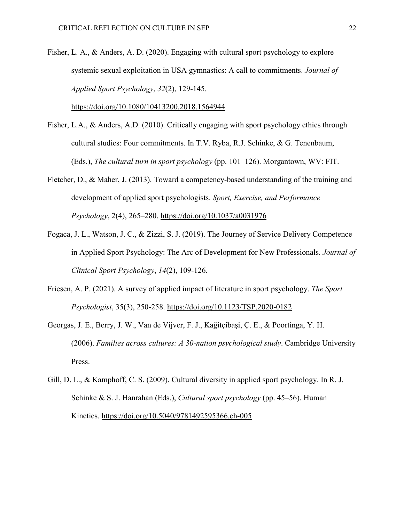Fisher, L. A., & Anders, A. D. (2020). Engaging with cultural sport psychology to explore systemic sexual exploitation in USA gymnastics: A call to commitments. *Journal of Applied Sport Psychology*, *32*(2), 129-145.

<https://doi.org/10.1080/10413200.2018.1564944>

- Fisher, L.A., & Anders, A.D. (2010). Critically engaging with sport psychology ethics through cultural studies: Four commitments. In T.V. Ryba, R.J. Schinke, & G. Tenenbaum, (Eds.), *The cultural turn in sport psychology* (pp. 101–126). Morgantown, WV: FIT.
- Fletcher, D., & Maher, J. (2013). Toward a competency-based understanding of the training and development of applied sport psychologists. *Sport, Exercise, and Performance Psychology*, 2(4), 265–280.<https://doi.org/10.1037/a0031976>
- Fogaca, J. L., Watson, J. C., & Zizzi, S. J. (2019). The Journey of Service Delivery Competence in Applied Sport Psychology: The Arc of Development for New Professionals. *Journal of Clinical Sport Psychology*, *14*(2), 109-126.
- Friesen, A. P. (2021). A survey of applied impact of literature in sport psychology. *The Sport Psychologist*, 35(3), 250-258.<https://doi.org/10.1123/TSP.2020-0182>
- Georgas, J. E., Berry, J. W., Van de Vijver, F. J., Kağitçibaşi, Ç. E., & Poortinga, Y. H. (2006). *Families across cultures: A 30-nation psychological study*. Cambridge University Press.
- Gill, D. L., & Kamphoff, C. S. (2009). Cultural diversity in applied sport psychology. In R. J. Schinke & S. J. Hanrahan (Eds.), *Cultural sport psychology* (pp. 45–56). Human Kinetics. [https://doi.org/10.5040/9781492595366.ch-005](https://psycnet.apa.org/doi/10.5040/9781492595366.ch-005)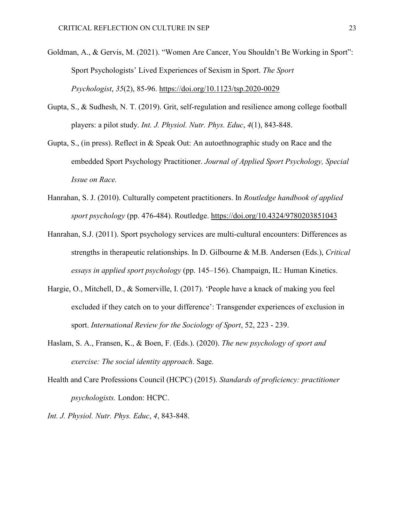- Goldman, A., & Gervis, M. (2021). "Women Are Cancer, You Shouldn't Be Working in Sport": Sport Psychologists' Lived Experiences of Sexism in Sport. *The Sport Psychologist*, *35*(2), 85-96.<https://doi.org/10.1123/tsp.2020-0029>
- Gupta, S., & Sudhesh, N. T. (2019). Grit, self-regulation and resilience among college football players: a pilot study. *Int. J. Physiol. Nutr. Phys. Educ*, *4*(1), 843-848.
- Gupta, S., (in press). Reflect in & Speak Out: An autoethnographic study on Race and the embedded Sport Psychology Practitioner. *Journal of Applied Sport Psychology, Special Issue on Race.*
- Hanrahan, S. J. (2010). Culturally competent practitioners. In *Routledge handbook of applied sport psychology* (pp. 476-484). Routledge.<https://doi.org/10.4324/9780203851043>
- Hanrahan, S.J. (2011). Sport psychology services are multi-cultural encounters: Differences as strengths in therapeutic relationships. In D. Gilbourne & M.B. Andersen (Eds.), *Critical essays in applied sport psychology* (pp. 145–156). Champaign, IL: Human Kinetics.
- Hargie, O., Mitchell, D., & Somerville, I. (2017). 'People have a knack of making you feel excluded if they catch on to your difference': Transgender experiences of exclusion in sport. *International Review for the Sociology of Sport*, 52, 223 - 239.
- Haslam, S. A., Fransen, K., & Boen, F. (Eds.). (2020). *The new psychology of sport and exercise: The social identity approach*. Sage.
- Health and Care Professions Council (HCPC) (2015). *Standards of proficiency: practitioner psychologists.* London: HCPC.
- *Int. J. Physiol. Nutr. Phys. Educ*, *4*, 843-848.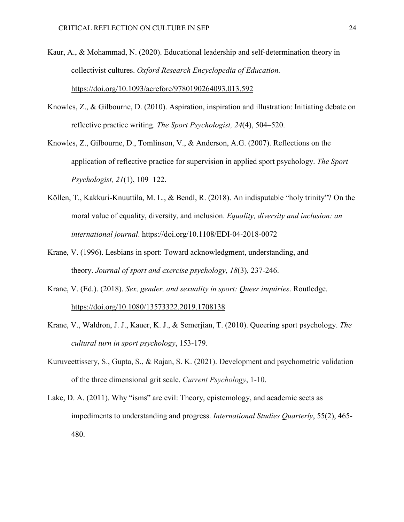- Kaur, A., & Mohammad, N. (2020). Educational leadership and self-determination theory in collectivist cultures. *Oxford Research Encyclopedia of Education.* <https://doi.org/10.1093/acrefore/9780190264093.013.592>
- Knowles, Z., & Gilbourne, D. (2010). Aspiration, inspiration and illustration: Initiating debate on reflective practice writing. *The Sport Psychologist, 24*(4), 504–520.
- Knowles, Z., Gilbourne, D., Tomlinson, V., & Anderson, A.G. (2007). Reflections on the application of reflective practice for supervision in applied sport psychology. *The Sport Psychologist, 21*(1), 109–122.
- Köllen, T., Kakkuri-Knuuttila, M. L., & Bendl, R. (2018). An indisputable "holy trinity"? On the moral value of equality, diversity, and inclusion. *Equality, diversity and inclusion: an international journal*.<https://doi.org/10.1108/EDI-04-2018-0072>
- Krane, V. (1996). Lesbians in sport: Toward acknowledgment, understanding, and theory. *Journal of sport and exercise psychology*, *18*(3), 237-246.
- Krane, V. (Ed.). (2018). *Sex, gender, and sexuality in sport: Queer inquiries*. Routledge. <https://doi.org/10.1080/13573322.2019.1708138>
- Krane, V., Waldron, J. J., Kauer, K. J., & Semerjian, T. (2010). Queering sport psychology. *The cultural turn in sport psychology*, 153-179.
- Kuruveettissery, S., Gupta, S., & Rajan, S. K. (2021). Development and psychometric validation of the three dimensional grit scale. *Current Psychology*, 1-10.
- Lake, D. A. (2011). Why "isms" are evil: Theory, epistemology, and academic sects as impediments to understanding and progress. *International Studies Quarterly*, 55(2), 465- 480.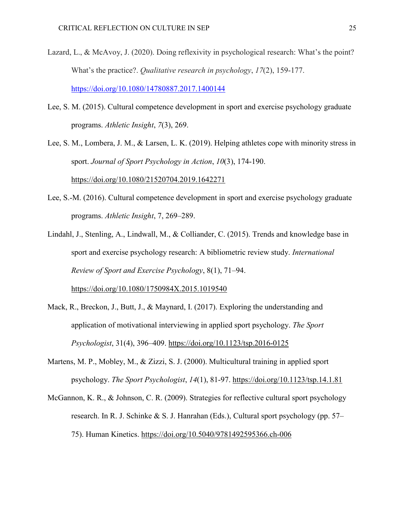- Lazard, L., & McAvoy, J. (2020). Doing reflexivity in psychological research: What's the point? What's the practice?. *Qualitative research in psychology*, *17*(2), 159-177. <https://doi.org/10.1080/14780887.2017.1400144>
- Lee, S. M. (2015). Cultural competence development in sport and exercise psychology graduate programs. *Athletic Insight*, *7*(3), 269.

Lee, S. M., Lombera, J. M., & Larsen, L. K. (2019). Helping athletes cope with minority stress in sport. *Journal of Sport Psychology in Action*, *10*(3), 174-190. <https://doi.org/10.1080/21520704.2019.1642271>

- Lee, S.-M. (2016). Cultural competence development in sport and exercise psychology graduate programs. *Athletic Insight*, 7, 269–289.
- Lindahl, J., Stenling, A., Lindwall, M., & Colliander, C. (2015). Trends and knowledge base in sport and exercise psychology research: A bibliometric review study. *International Review of Sport and Exercise Psychology*, 8(1), 71–94.

<https://doi.org/10.1080/1750984X.2015.1019540>

- Mack, R., Breckon, J., Butt, J., & Maynard, I. (2017). Exploring the understanding and application of motivational interviewing in applied sport psychology. *The Sport Psychologist*, 31(4), 396–409.<https://doi.org/10.1123/tsp.2016-0125>
- Martens, M. P., Mobley, M., & Zizzi, S. J. (2000). Multicultural training in applied sport psychology. *The Sport Psychologist*, *14*(1), 81-97.<https://doi.org/10.1123/tsp.14.1.81>
- McGannon, K. R., & Johnson, C. R. (2009). Strategies for reflective cultural sport psychology research. In R. J. Schinke & S. J. Hanrahan (Eds.), Cultural sport psychology (pp. 57– 75). Human Kinetics.<https://doi.org/10.5040/9781492595366.ch-006>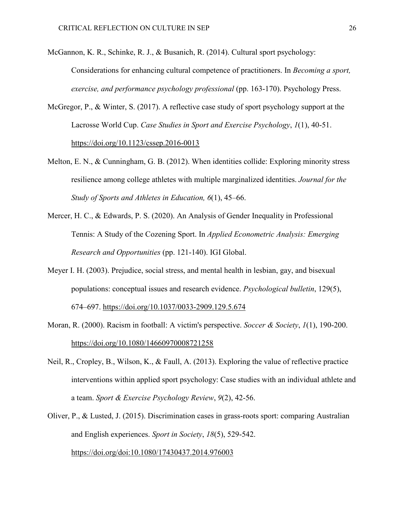McGannon, K. R., Schinke, R. J., & Busanich, R. (2014). Cultural sport psychology: Considerations for enhancing cultural competence of practitioners. In *Becoming a sport, exercise, and performance psychology professional* (pp. 163-170). Psychology Press.

- McGregor, P., & Winter, S. (2017). A reflective case study of sport psychology support at the Lacrosse World Cup. *Case Studies in Sport and Exercise Psychology*, *1*(1), 40-51. <https://doi.org/10.1123/cssep.2016-0013>
- Melton, E. N., & Cunningham, G. B. (2012). When identities collide: Exploring minority stress resilience among college athletes with multiple marginalized identities. *Journal for the Study of Sports and Athletes in Education, 6*(1), 45–66.
- Mercer, H. C., & Edwards, P. S. (2020). An Analysis of Gender Inequality in Professional Tennis: A Study of the Cozening Sport. In *Applied Econometric Analysis: Emerging Research and Opportunities* (pp. 121-140). IGI Global.
- Meyer I. H. (2003). Prejudice, social stress, and mental health in lesbian, gay, and bisexual populations: conceptual issues and research evidence. *Psychological bulletin*, 129(5), 674–697.<https://doi.org/10.1037/0033-2909.129.5.674>
- Moran, R. (2000). Racism in football: A victim's perspective. *Soccer & Society*, *1*(1), 190-200. <https://doi.org/10.1080/14660970008721258>
- Neil, R., Cropley, B., Wilson, K., & Faull, A. (2013). Exploring the value of reflective practice interventions within applied sport psychology: Case studies with an individual athlete and a team. *Sport & Exercise Psychology Review*, *9*(2), 42-56.
- Oliver, P., & Lusted, J. (2015). Discrimination cases in grass-roots sport: comparing Australian and English experiences. *Sport in Society*, *18*(5), 529-542. <https://doi.org/doi:10.1080/17430437.2014.976003>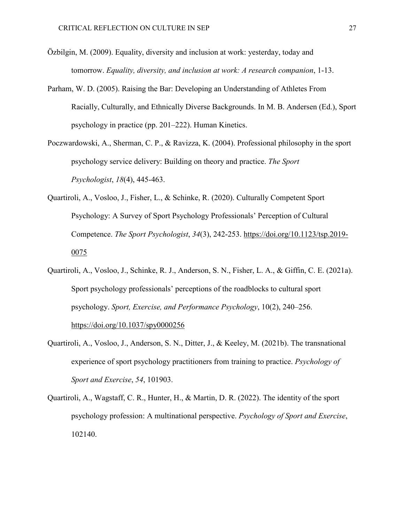- Özbilgin, M. (2009). Equality, diversity and inclusion at work: yesterday, today and tomorrow. *Equality, diversity, and inclusion at work: A research companion*, 1-13.
- Parham, W. D. (2005). Raising the Bar: Developing an Understanding of Athletes From Racially, Culturally, and Ethnically Diverse Backgrounds. In M. B. Andersen (Ed.), Sport psychology in practice (pp. 201–222). Human Kinetics.
- Poczwardowski, A., Sherman, C. P., & Ravizza, K. (2004). Professional philosophy in the sport psychology service delivery: Building on theory and practice. *The Sport Psychologist*, *18*(4), 445-463.
- Quartiroli, A., Vosloo, J., Fisher, L., & Schinke, R. (2020). Culturally Competent Sport Psychology: A Survey of Sport Psychology Professionals' Perception of Cultural Competence. *The Sport Psychologist*, *34*(3), 242-253. [https://doi.org/10.1123/tsp.2019-](https://doi.org/10.1123/tsp.2019-0075) [0075](https://doi.org/10.1123/tsp.2019-0075)
- Quartiroli, A., Vosloo, J., Schinke, R. J., Anderson, S. N., Fisher, L. A., & Giffin, C. E. (2021a). Sport psychology professionals' perceptions of the roadblocks to cultural sport psychology. *Sport, Exercise, and Performance Psychology*, 10(2), 240–256. <https://doi.org/10.1037/spy0000256>
- Quartiroli, A., Vosloo, J., Anderson, S. N., Ditter, J., & Keeley, M. (2021b). The transnational experience of sport psychology practitioners from training to practice. *Psychology of Sport and Exercise*, *54*, 101903.
- Quartiroli, A., Wagstaff, C. R., Hunter, H., & Martin, D. R. (2022). The identity of the sport psychology profession: A multinational perspective. *Psychology of Sport and Exercise*, 102140.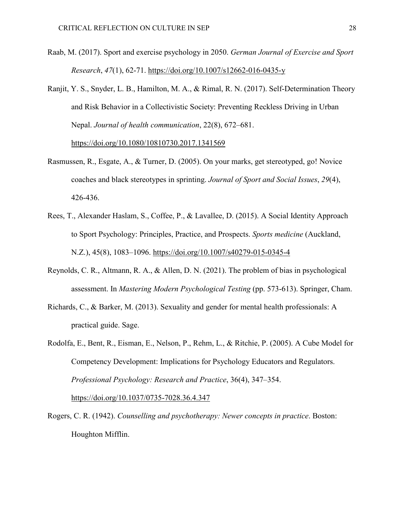- Raab, M. (2017). Sport and exercise psychology in 2050. *German Journal of Exercise and Sport Research*, *47*(1), 62-71.<https://doi.org/10.1007/s12662-016-0435-y>
- Ranjit, Y. S., Snyder, L. B., Hamilton, M. A., & Rimal, R. N. (2017). Self-Determination Theory and Risk Behavior in a Collectivistic Society: Preventing Reckless Driving in Urban Nepal. *Journal of health communication*, 22(8), 672–681.

<https://doi.org/10.1080/10810730.2017.1341569>

- Rasmussen, R., Esgate, A., & Turner, D. (2005). On your marks, get stereotyped, go! Novice coaches and black stereotypes in sprinting. *Journal of Sport and Social Issues*, *29*(4), 426-436.
- Rees, T., Alexander Haslam, S., Coffee, P., & Lavallee, D. (2015). A Social Identity Approach to Sport Psychology: Principles, Practice, and Prospects. *Sports medicine* (Auckland, N.Z.), 45(8), 1083–1096.<https://doi.org/10.1007/s40279-015-0345-4>
- Reynolds, C. R., Altmann, R. A., & Allen, D. N. (2021). The problem of bias in psychological assessment. In *Mastering Modern Psychological Testing* (pp. 573-613). Springer, Cham.
- Richards, C., & Barker, M. (2013). Sexuality and gender for mental health professionals: A practical guide. Sage.
- Rodolfa, E., Bent, R., Eisman, E., Nelson, P., Rehm, L., & Ritchie, P. (2005). A Cube Model for Competency Development: Implications for Psychology Educators and Regulators. *Professional Psychology: Research and Practice*, 36(4), 347–354. <https://doi.org/10.1037/0735-7028.36.4.347>
- Rogers, C. R. (1942). *Counselling and psychotherapy: Newer concepts in practice*. Boston: Houghton Mifflin.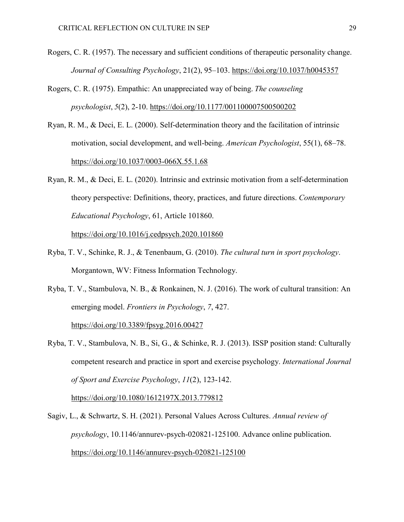- Rogers, C. R. (1957). The necessary and sufficient conditions of therapeutic personality change. *Journal of Consulting Psychology*, 21(2), 95–103.<https://doi.org/10.1037/h0045357>
- Rogers, C. R. (1975). Empathic: An unappreciated way of being. *The counseling psychologist*, *5*(2), 2-10. <https://doi.org/10.1177/001100007500500202>
- Ryan, R. M., & Deci, E. L. (2000). Self-determination theory and the facilitation of intrinsic motivation, social development, and well-being. *American Psychologist*, 55(1), 68–78. <https://doi.org/10.1037/0003-066X.55.1.68>
- Ryan, R. M., & Deci, E. L. (2020). Intrinsic and extrinsic motivation from a self-determination theory perspective: Definitions, theory, practices, and future directions. *Contemporary Educational Psychology*, 61, Article 101860.

<https://doi.org/10.1016/j.cedpsych.2020.101860>

- Ryba, T. V., Schinke, R. J., & Tenenbaum, G. (2010). *The cultural turn in sport psychology*. Morgantown, WV: Fitness Information Technology.
- Ryba, T. V., Stambulova, N. B., & Ronkainen, N. J. (2016). The work of cultural transition: An emerging model. *Frontiers in Psychology*, *7*, 427.

<https://doi.org/10.3389/fpsyg.2016.00427>

Ryba, T. V., Stambulova, N. B., Si, G., & Schinke, R. J. (2013). ISSP position stand: Culturally competent research and practice in sport and exercise psychology. *International Journal of Sport and Exercise Psychology*, *11*(2), 123-142.

<https://doi.org/10.1080/1612197X.2013.779812>

Sagiv, L., & Schwartz, S. H. (2021). Personal Values Across Cultures. *Annual review of psychology*, 10.1146/annurev-psych-020821-125100. Advance online publication. <https://doi.org/10.1146/annurev-psych-020821-125100>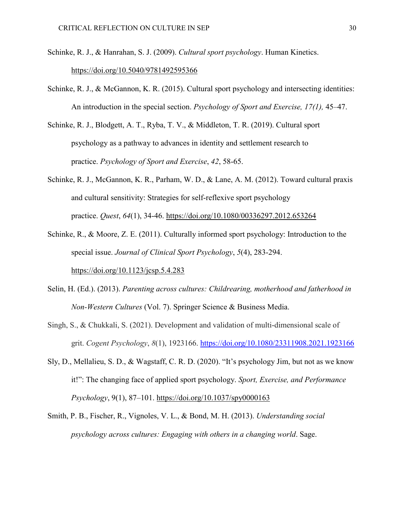- Schinke, R. J., & Hanrahan, S. J. (2009). *Cultural sport psychology*. Human Kinetics. [https://doi.org/10.5040/9781492595366](https://psycnet.apa.org/doi/10.5040/9781492595366)
- Schinke, R. J., & McGannon, K. R. (2015). Cultural sport psychology and intersecting identities: An introduction in the special section. *Psychology of Sport and Exercise, 17(1),* 45–47.
- Schinke, R. J., Blodgett, A. T., Ryba, T. V., & Middleton, T. R. (2019). Cultural sport psychology as a pathway to advances in identity and settlement research to practice. *Psychology of Sport and Exercise*, *42*, 58-65.
- Schinke, R. J., McGannon, K. R., Parham, W. D., & Lane, A. M. (2012). Toward cultural praxis and cultural sensitivity: Strategies for self-reflexive sport psychology practice. *Quest*, *64*(1), 34-46. <https://doi.org/10.1080/00336297.2012.653264>
- Schinke, R., & Moore, Z. E. (2011). Culturally informed sport psychology: Introduction to the special issue. *Journal of Clinical Sport Psychology*, *5*(4), 283-294. <https://doi.org/10.1123/jcsp.5.4.283>
- Selin, H. (Ed.). (2013). *Parenting across cultures: Childrearing, motherhood and fatherhood in Non-Western Cultures* (Vol. 7). Springer Science & Business Media.
- Singh, S., & Chukkali, S. (2021). Development and validation of multi-dimensional scale of grit. *Cogent Psychology*, *8*(1), 1923166.<https://doi.org/10.1080/23311908.2021.1923166>
- Sly, D., Mellalieu, S. D., & Wagstaff, C. R. D. (2020). "It's psychology Jim, but not as we know it!": The changing face of applied sport psychology. *Sport, Exercise, and Performance Psychology*, 9(1), 87–101.<https://doi.org/10.1037/spy0000163>
- Smith, P. B., Fischer, R., Vignoles, V. L., & Bond, M. H. (2013). *Understanding social psychology across cultures: Engaging with others in a changing world*. Sage.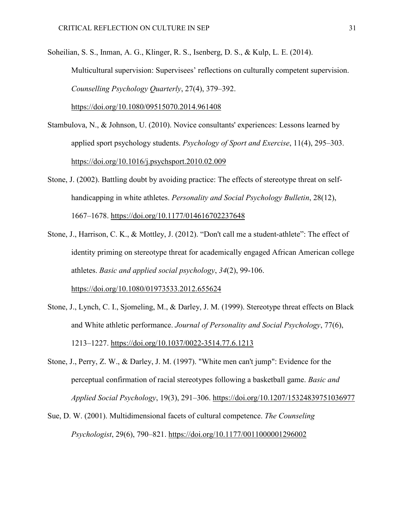Soheilian, S. S., Inman, A. G., Klinger, R. S., Isenberg, D. S., & Kulp, L. E. (2014). Multicultural supervision: Supervisees' reflections on culturally competent supervision. *Counselling Psychology Quarterly*, 27(4), 379–392.

<https://doi.org/10.1080/09515070.2014.961408>

- Stambulova, N., & Johnson, U. (2010). Novice consultants' experiences: Lessons learned by applied sport psychology students. *Psychology of Sport and Exercise*, 11(4), 295–303. <https://doi.org/10.1016/j.psychsport.2010.02.009>
- Stone, J. (2002). Battling doubt by avoiding practice: The effects of stereotype threat on selfhandicapping in white athletes. *Personality and Social Psychology Bulletin*, 28(12), 1667–1678.<https://doi.org/10.1177/014616702237648>
- Stone, J., Harrison, C. K., & Mottley, J. (2012). "Don't call me a student-athlete": The effect of identity priming on stereotype threat for academically engaged African American college athletes. *Basic and applied social psychology*, *34*(2), 99-106. <https://doi.org/10.1080/01973533.2012.655624>
- Stone, J., Lynch, C. I., Sjomeling, M., & Darley, J. M. (1999). Stereotype threat effects on Black and White athletic performance. *Journal of Personality and Social Psychology*, 77(6), 1213–1227.<https://doi.org/10.1037/0022-3514.77.6.1213>
- Stone, J., Perry, Z. W., & Darley, J. M. (1997). "White men can't jump": Evidence for the perceptual confirmation of racial stereotypes following a basketball game. *Basic and Applied Social Psychology*, 19(3), 291–306.<https://doi.org/10.1207/15324839751036977>
- Sue, D. W. (2001). Multidimensional facets of cultural competence. *The Counseling Psychologist*, 29(6), 790–821.<https://doi.org/10.1177/0011000001296002>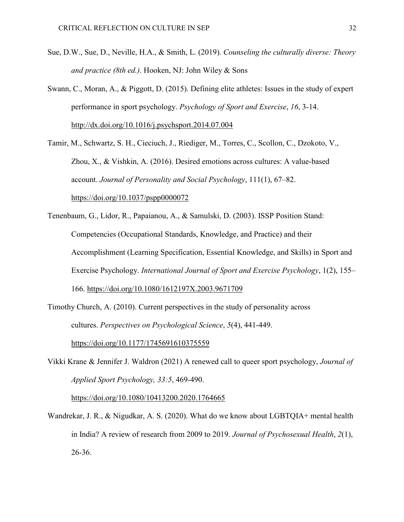- Sue, D.W., Sue, D., Neville, H.A., & Smith, L. (2019). *Counseling the culturally diverse: Theory and practice (8th ed.)*. Hooken, NJ: John Wiley & Sons
- Swann, C., Moran, A., & Piggott, D. (2015). Defining elite athletes: Issues in the study of expert performance in sport psychology. *Psychology of Sport and Exercise*, *16*, 3-14. <http://dx.doi.org/10.1016/j.psychsport.2014.07.004>
- Tamir, M., Schwartz, S. H., Cieciuch, J., Riediger, M., Torres, C., Scollon, C., Dzokoto, V., Zhou, X., & Vishkin, A. (2016). Desired emotions across cultures: A value-based account. *Journal of Personality and Social Psychology*, 111(1), 67–82. <https://doi.org/10.1037/pspp0000072>
- Tenenbaum, G., Lidor, R., Papaianou, A., & Samulski, D. (2003). ISSP Position Stand: Competencies (Occupational Standards, Knowledge, and Practice) and their Accomplishment (Learning Specification, Essential Knowledge, and Skills) in Sport and Exercise Psychology. *International Journal of Sport and Exercise Psychology*, 1(2), 155– 166.<https://doi.org/10.1080/1612197X.2003.9671709>
- Timothy Church, A. (2010). Current perspectives in the study of personality across cultures. *Perspectives on Psychological Science*, *5*(4), 441-449. <https://doi.org/10.1177/1745691610375559>
- Vikki Krane & Jennifer J. Waldron (2021) A renewed call to queer sport psychology, *Journal of Applied Sport Psychology, 33:5*, 469-490.

<https://doi.org/10.1080/10413200.2020.1764665>

Wandrekar, J. R., & Nigudkar, A. S. (2020). What do we know about LGBTQIA+ mental health in India? A review of research from 2009 to 2019. *Journal of Psychosexual Health*, *2*(1), 26-36.